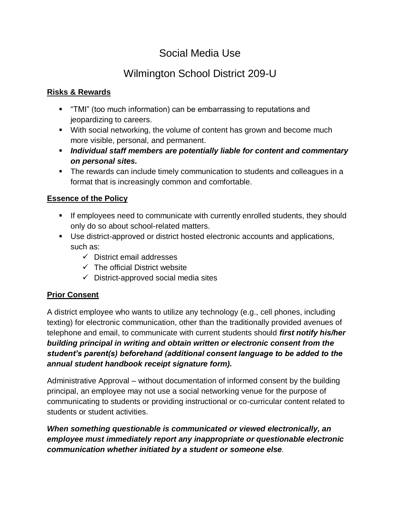# Social Media Use

# Wilmington School District 209-U

## **Risks & Rewards**

- "TMI" (too much information) can be embarrassing to reputations and jeopardizing to careers.
- With social networking, the volume of content has grown and become much more visible, personal, and permanent.
- *Individual staff members are potentially liable for content and commentary on personal sites.*
- The rewards can include timely communication to students and colleagues in a format that is increasingly common and comfortable.

# **Essence of the Policy**

- If employees need to communicate with currently enrolled students, they should only do so about school-related matters.
- Use district-approved or district hosted electronic accounts and applications, such as:
	- $\checkmark$  District email addresses
	- $\checkmark$  The official District website
	- $\checkmark$  District-approved social media sites

# **Prior Consent**

A district employee who wants to utilize any technology (e.g., cell phones, including texting) for electronic communication, other than the traditionally provided avenues of telephone and email, to communicate with current students should *first notify his/her building principal in writing and obtain written or electronic consent from the student's parent(s) beforehand (additional consent language to be added to the annual student handbook receipt signature form).*

Administrative Approval – without documentation of informed consent by the building principal, an employee may not use a social networking venue for the purpose of communicating to students or providing instructional or co-curricular content related to students or student activities.

*When something questionable is communicated or viewed electronically, an employee must immediately report any inappropriate or questionable electronic communication whether initiated by a student or someone else.*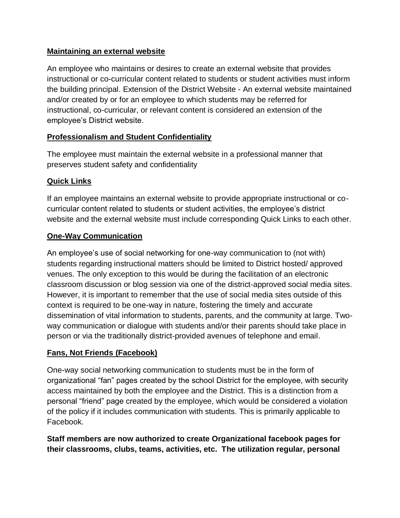#### **Maintaining an external website**

An employee who maintains or desires to create an external website that provides instructional or co-curricular content related to students or student activities must inform the building principal. Extension of the District Website - An external website maintained and/or created by or for an employee to which students may be referred for instructional, co-curricular, or relevant content is considered an extension of the employee's District website.

## **Professionalism and Student Confidentiality**

The employee must maintain the external website in a professional manner that preserves student safety and confidentiality

## **Quick Links**

If an employee maintains an external website to provide appropriate instructional or cocurricular content related to students or student activities, the employee's district website and the external website must include corresponding Quick Links to each other.

## **One-Way Communication**

An employee's use of social networking for one-way communication to (not with) students regarding instructional matters should be limited to District hosted/ approved venues. The only exception to this would be during the facilitation of an electronic classroom discussion or blog session via one of the district-approved social media sites. However, it is important to remember that the use of social media sites outside of this context is required to be one-way in nature, fostering the timely and accurate dissemination of vital information to students, parents, and the community at large. Twoway communication or dialogue with students and/or their parents should take place in person or via the traditionally district-provided avenues of telephone and email.

#### **Fans, Not Friends (Facebook)**

One-way social networking communication to students must be in the form of organizational "fan" pages created by the school District for the employee, with security access maintained by both the employee and the District. This is a distinction from a personal "friend" page created by the employee, which would be considered a violation of the policy if it includes communication with students. This is primarily applicable to Facebook.

**Staff members are now authorized to create Organizational facebook pages for their classrooms, clubs, teams, activities, etc. The utilization regular, personal**